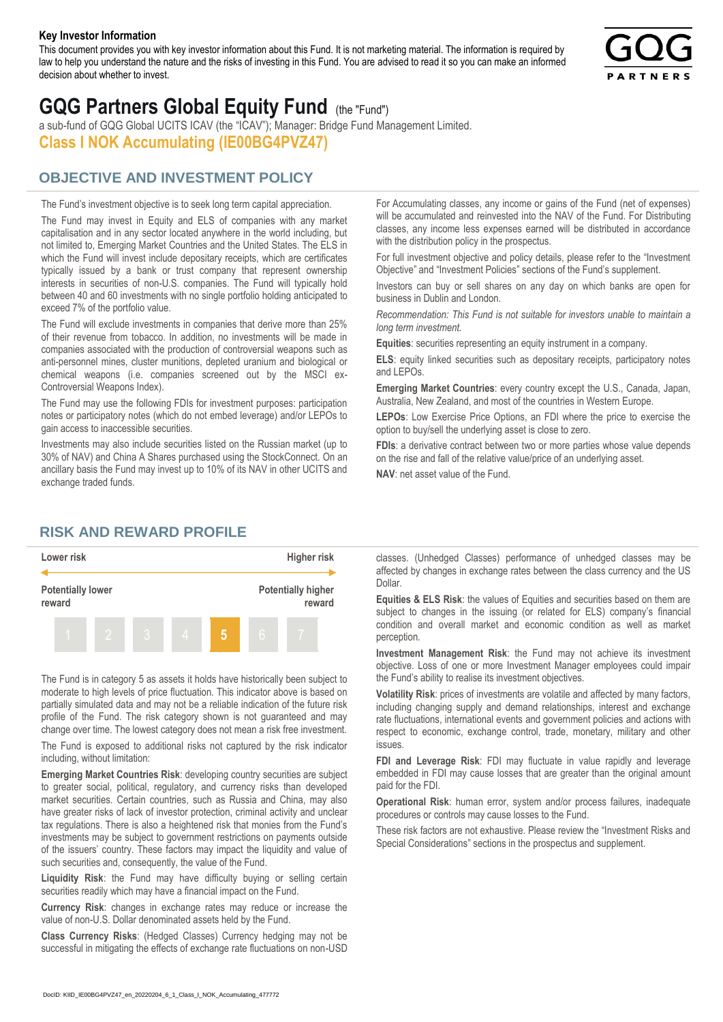#### **Key Investor Information**

This document provides you with key investor information about this Fund. It is not marketing material. The information is required by law to help you understand the nature and the risks of investing in this Fund. You are advised to read it so you can make an informed decision about whether to invest.



# **GQG Partners Global Equity Fund** (the "Fund")

a sub-fund of GQG Global UCITS ICAV (the "ICAV"); Manager: Bridge Fund Management Limited. **Class I NOK Accumulating (IE00BG4PVZ47)**

## **OBJECTIVE AND INVESTMENT POLICY**

The Fund's investment objective is to seek long term capital appreciation. The Fund may invest in Equity and ELS of companies with any market capitalisation and in any sector located anywhere in the world including, but not limited to, Emerging Market Countries and the United States. The ELS in which the Fund will invest include depositary receipts, which are certificates typically issued by a bank or trust company that represent ownership interests in securities of non-U.S. companies. The Fund will typically hold between 40 and 60 investments with no single portfolio holding anticipated to exceed 7% of the portfolio value.

The Fund will exclude investments in companies that derive more than 25% of their revenue from tobacco. In addition, no investments will be made in companies associated with the production of controversial weapons such as anti-personnel mines, cluster munitions, depleted uranium and biological or chemical weapons (i.e. companies screened out by the MSCI ex-Controversial Weapons Index).

The Fund may use the following FDIs for investment purposes: participation notes or participatory notes (which do not embed leverage) and/or LEPOs to gain access to inaccessible securities.

Investments may also include securities listed on the Russian market (up to 30% of NAV) and China A Shares purchased using the StockConnect. On an ancillary basis the Fund may invest up to 10% of its NAV in other UCITS and exchange traded funds.

For Accumulating classes, any income or gains of the Fund (net of expenses) will be accumulated and reinvested into the NAV of the Fund. For Distributing classes, any income less expenses earned will be distributed in accordance with the distribution policy in the prospectus.

For full investment objective and policy details, please refer to the "Investment Objective" and "Investment Policies" sections of the Fund's supplement.

Investors can buy or sell shares on any day on which banks are open for business in Dublin and London.

*Recommendation: This Fund is not suitable for investors unable to maintain a long term investment.*

**Equities**: securities representing an equity instrument in a company.

**ELS**: equity linked securities such as depositary receipts, participatory notes and LEPOs.

**Emerging Market Countries**: every country except the U.S., Canada, Japan, Australia, New Zealand, and most of the countries in Western Europe.

**LEPOs**: Low Exercise Price Options, an FDI where the price to exercise the option to buy/sell the underlying asset is close to zero.

**FDIs**: a derivative contract between two or more parties whose value depends on the rise and fall of the relative value/price of an underlying asset.

**NAV**: net asset value of the Fund.

### **RISK AND REWARD PROFILE**



The Fund is in category 5 as assets it holds have historically been subject to moderate to high levels of price fluctuation. This indicator above is based on partially simulated data and may not be a reliable indication of the future risk profile of the Fund. The risk category shown is not guaranteed and may change over time. The lowest category does not mean a risk free investment.

The Fund is exposed to additional risks not captured by the risk indicator including, without limitation:

**Emerging Market Countries Risk**: developing country securities are subject to greater social, political, regulatory, and currency risks than developed market securities. Certain countries, such as Russia and China, may also have greater risks of lack of investor protection, criminal activity and unclear tax regulations. There is also a heightened risk that monies from the Fund's investments may be subject to government restrictions on payments outside of the issuers' country. These factors may impact the liquidity and value of such securities and, consequently, the value of the Fund.

**Liquidity Risk**: the Fund may have difficulty buying or selling certain securities readily which may have a financial impact on the Fund.

**Currency Risk**: changes in exchange rates may reduce or increase the value of non-U.S. Dollar denominated assets held by the Fund.

**Class Currency Risks**: (Hedged Classes) Currency hedging may not be successful in mitigating the effects of exchange rate fluctuations on non-USD classes. (Unhedged Classes) performance of unhedged classes may be affected by changes in exchange rates between the class currency and the US Dollar.

**Equities & ELS Risk**: the values of Equities and securities based on them are subject to changes in the issuing (or related for ELS) company's financial condition and overall market and economic condition as well as market perception.

**Investment Management Risk**: the Fund may not achieve its investment objective. Loss of one or more Investment Manager employees could impair the Fund's ability to realise its investment objectives.

**Volatility Risk**: prices of investments are volatile and affected by many factors, including changing supply and demand relationships, interest and exchange rate fluctuations, international events and government policies and actions with respect to economic, exchange control, trade, monetary, military and other issues.

**FDI and Leverage Risk**: FDI may fluctuate in value rapidly and leverage embedded in FDI may cause losses that are greater than the original amount paid for the FDI.

**Operational Risk**: human error, system and/or process failures, inadequate procedures or controls may cause losses to the Fund.

These risk factors are not exhaustive. Please review the "Investment Risks and Special Considerations" sections in the prospectus and supplement.